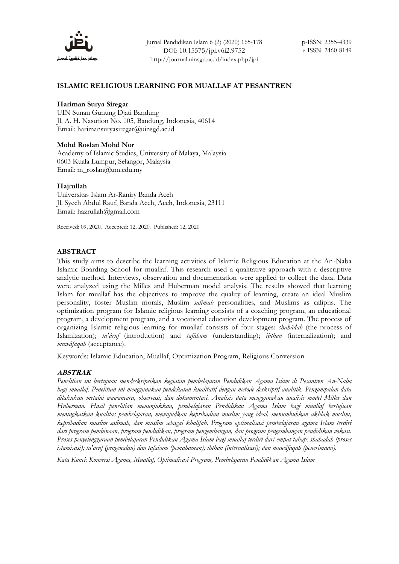

# **ISLAMIC RELIGIOUS LEARNING FOR MUALLAF AT PESANTREN**

# **Hariman Surya Siregar**

UIN Sunan Gunung Djati Bandung Jl. A. H. Nasution No. 105, Bandung, Indonesia, 40614 Email: harimansuryasiregar@uinsgd.ac.id

#### **Mohd Roslan Mohd Nor**

Academy of Islamic Studies, University of Malaya, Malaysia 0603 Kuala Lumpur, Selangor, Malaysia Email: m\_roslan@um.edu.my

#### **Hajrullah**

Universitas Islam Ar-Raniry Banda Aceh Jl. Syech Abdul Rauf, Banda Aceh, Aceh, Indonesia, 23111 Email: hazrullah@gmail.com

Received: 09, 2020. Accepted: 12, 2020. Published: 12, 2020

#### **ABSTRACT**

This study aims to describe the learning activities of Islamic Religious Education at the An-Naba Islamic Boarding School for muallaf. This research used a qualitative approach with a descriptive analytic method. Interviews, observation and documentation were applied to collect the data. Data were analyzed using the Milles and Huberman model analysis. The results showed that learning Islam for muallaf has the objectives to improve the quality of learning, create an ideal Muslim personality, foster Muslim morals, Muslim *salimah* personalities, and Muslims as caliphs. The optimization program for Islamic religious learning consists of a coaching program, an educational program, a development program, and a vocational education development program. The process of organizing Islamic religious learning for muallaf consists of four stages: *shahâdah* (the process of Islamization); *ta'âruf* (introduction) and *tafâhum* (understanding); *ibthan* (internalization); and *muwâfaqah* (acceptance).

Keywords: Islamic Education, Muallaf, Optimization Program, Religious Conversion

# **ABSTRAK**

*Penelitian ini bertujuan mendeskripsikan kegiatan pembelajaran Pendidikan Agama Islam di Pesantren An-Naba bagi muallaf. Penelitian ini menggunakan pendekatan kualitatif dengan metode deskriptif analitik. Pengumpulan data dilakukan melalui wawancara, observasi, dan dokumentasi. Analisis data menggunakan analisis model Milles dan Huberman. Hasil penelitian menunjukkan, pembelajaran Pendidikan Agama Islam bagi muallaf bertujuan meningkatkan kualitas pembelajaran, mewujudkan kepribadian muslim yang ideal, menumbuhkan akhlak muslim, kepribadian muslim salimah, dan muslim sebagai khalifah. Program optimalisasi pembelajaran agama Islam terdiri dari program pembinaan, program pendidikan, program pengembangan, dan program pengembangan pendidikan vokasi. Proses penyelenggaraan pembelajaran Pendidikan Agama Islam bagi muallaf terdiri dari empat tahap: shahadah (proses islamisasi); ta'aruf (pengenalan) dan tafahum (pemahaman); ibthan (internalisasi); dan muwâfaqah (penerimaan).*

*Kata Kunci: Konversi Agama, Muallaf, Optimalisasi Program, Pembelajaran Pendidikan Agama Islam*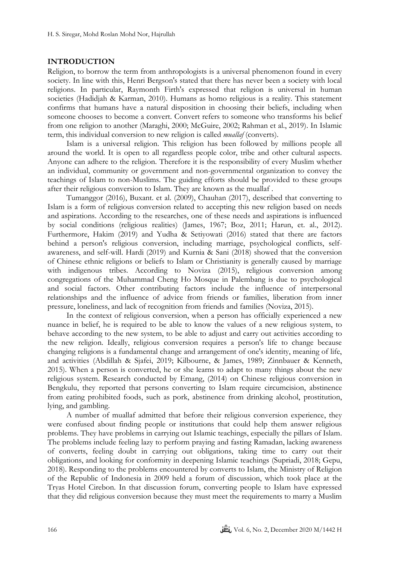# **INTRODUCTION**

Religion, to borrow the term from anthropologists is a universal phenomenon found in every society. In line with this, Henri Bergson's stated that there has never been a society with local religions. In particular, Raymonth Firth's expressed that religion is universal in human societies (Hadidjah & Karman, 2010). Humans as homo religious is a reality. This statement confirms that humans have a natural disposition in choosing their beliefs, including when someone chooses to become a convert. Convert refers to someone who transforms his belief from one religion to another (Maraghi, 2000; McGuire, 2002; Rahman et al., 2019). In Islamic term, this individual conversion to new religion is called *muallaf* (converts).

Islam is a universal religion. This religion has been followed by millions people all around the world. It is open to all regardless people color, tribe and other cultural aspects. Anyone can adhere to the religion. Therefore it is the responsibility of every Muslim whether an individual, community or government and non-governmental organization to convey the teachings of Islam to non-Muslims. The guiding efforts should be provided to these groups after their religious conversion to Islam. They are known as the muallaf .

Tumanggor (2016), Buxant. et al. (2009), Chauhan (2017), described that converting to Islam is a form of religious conversion related to accepting this new religion based on needs and aspirations. According to the researches, one of these needs and aspirations is influenced by social conditions (religious realities) (James, 1967; Boz, 2011; Harun, et. al., 2012). Furthermore, Hakim (2019) and Yudha & Setiyowati (2016) stated that there are factors behind a person's religious conversion, including marriage, psychological conflicts, selfawareness, and self-will. Hardi (2019) and Kurnia & Sani (2018) showed that the conversion of Chinese ethnic religions or beliefs to Islam or Christianity is generally caused by marriage with indigenous tribes. According to Noviza (2015), religious conversion among congregations of the Muhammad Cheng Ho Mosque in Palembang is due to psychological and social factors. Other contributing factors include the influence of interpersonal relationships and the influence of advice from friends or families, liberation from inner pressure, loneliness, and lack of recognition from friends and families (Noviza, 2015).

In the context of religious conversion, when a person has officially experienced a new nuance in belief, he is required to be able to know the values of a new religious system, to behave according to the new system, to be able to adjust and carry out activities according to the new religion. Ideally, religious conversion requires a person's life to change because changing religions is a fundamental change and arrangement of one's identity, meaning of life, and activities (Abdillah & Sjafei, 2019; [Kilbourne,](javascript:;) & [James,](javascript:;) 1989; Zinnbauer & Kenneth, 2015). When a person is converted, he or she learns to adapt to many things about the new religious system. Research conducted by Emang, (2014) on Chinese religious conversion in Bengkulu, they reported that persons converting to Islam require circumcision, abstinence from eating prohibited foods, such as pork, abstinence from drinking alcohol, prostitution, lying, and gambling.

A number of muallaf admitted that before their religious conversion experience, they were confused about finding people or institutions that could help them answer religious problems. They have problems in carrying out Islamic teachings, especially the pillars of Islam. The problems include feeling lazy to perform praying and fasting Ramadan, lacking awareness of converts, feeling doubt in carrying out obligations, taking time to carry out their obligations, and looking for conformity in deepening Islamic teachings (Supriadi, 2018; Gepu, 2018). Responding to the problems encountered by converts to Islam, the Ministry of Religion of the Republic of Indonesia in 2009 held a forum of discussion, which took place at the Tryas Hotel Cirebon. In that discussion forum, converting people to Islam have expressed that they did religious conversion because they must meet the requirements to marry a Muslim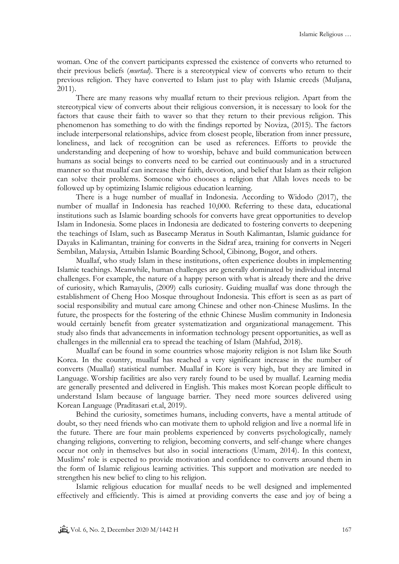woman. One of the convert participants expressed the existence of converts who returned to their previous beliefs (*murtad*). There is a stereotypical view of converts who return to their previous religion. They have converted to Islam just to play with Islamic creeds (Muljana, 2011).

There are many reasons why muallaf return to their previous religion. Apart from the stereotypical view of converts about their religious conversion, it is necessary to look for the factors that cause their faith to waver so that they return to their previous religion. This phenomenon has something to do with the findings reported by Noviza, (2015). The factors include interpersonal relationships, advice from closest people, liberation from inner pressure, loneliness, and lack of recognition can be used as references. Efforts to provide the understanding and deepening of how to worship, behave and build communication between humans as social beings to converts need to be carried out continuously and in a structured manner so that muallaf can increase their faith, devotion, and belief that Islam as their religion can solve their problems. Someone who chooses a religion that Allah loves needs to be followed up by optimizing Islamic religious education learning.

There is a huge number of muallaf in Indonesia. According to Widodo (2017), the number of muallaf in Indonesia has reached 10,000. Referring to these data, educational institutions such as Islamic boarding schools for converts have great opportunities to develop Islam in Indonesia. Some places in Indonesia are dedicated to fostering converts to deepening the teachings of Islam, such as Basecamp Meratus in South Kalimantan, Islamic guidance for Dayaks in Kalimantan, training for converts in the Sidraf area, training for converts in Negeri Sembilan, Malaysia, Attaibin Islamic Boarding School, Cibinong, Bogor, and others.

Muallaf, who study Islam in these institutions, often experience doubts in implementing Islamic teachings. Meanwhile, human challenges are generally dominated by individual internal challenges. For example, the nature of a happy person with what is already there and the drive of curiosity, which Ramayulis, (2009) calls curiosity. Guiding muallaf was done through the establishment of Cheng Hoo Mosque throughout Indonesia. This effort is seen as as part of social responsibility and mutual care among Chinese and other non-Chinese Muslims. In the future, the prospects for the fostering of the ethnic Chinese Muslim community in Indonesia would certainly benefit from greater systematization and organizational management. This study also finds that advancements in information technology present opportunities, as well as challenges in the millennial era to spread the teaching of Islam (Mahfud, 2018).

Muallaf can be found in some countries whose majority religion is not Islam like South Korea. In the country, muallaf has reached a very significant increase in the number of converts (Muallaf) statistical number. Muallaf in Kore is very high, but they are limited in Language. Worship facilities are also very rarely found to be used by muallaf. Learning media are generally presented and delivered in English. This makes most Korean people difficult to understand Islam because of language barrier. They need more sources delivered using Korean Language (Praditasari et.al, 2019).

Behind the curiosity, sometimes humans, including converts, have a mental attitude of doubt, so they need friends who can motivate them to uphold religion and live a normal life in the future. There are four main problems experienced by converts psychologically, namely changing religions, converting to religion, becoming converts, and self-change where changes occur not only in themselves but also in social interactions (Umam, 2014). In this context, Muslims' role is expected to provide motivation and confidence to converts around them in the form of Islamic religious learning activities. This support and motivation are needed to strengthen his new belief to cling to his religion.

Islamic religious education for muallaf needs to be well designed and implemented effectively and efficiently. This is aimed at providing converts the ease and joy of being a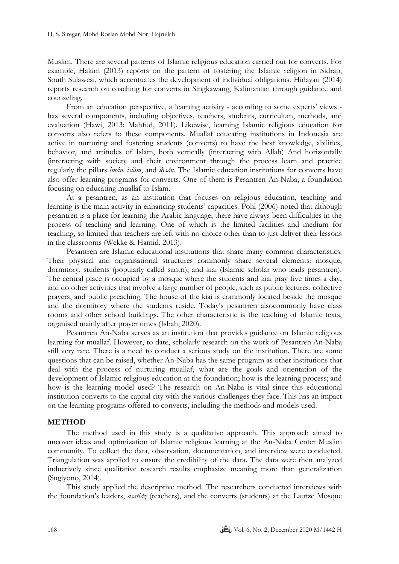Muslim. There are several patterns of Islamic religious education carried out for converts. For example, Hakim (2013) reports on the pattern of fostering the Islamic religion in Sidrap, South Sulawesi, which accentuates the development of individual obligations. Hidayati (2014) reports research on coaching for converts in Singkawang, Kalimantan through guidance and counseling.

From an education perspective, a learning activity - according to some experts' views has several components, including objectives, teachers, students, curriculum, methods, and evaluation (Hawi, 2013; Mahfud, 2011). Likewise, learning Islamic religious education for converts also refers to these components. Muallaf educating institutions in Indonesia are active in nurturing and fostering students (converts) to have the best knowledge, abilities, behavior, and attitudes of Islam, both vertically (interacting with Allah) And horizontally (interacting with society and their environment through the process learn and practice regularly the pillars *imân, islâm*, and *iḥsân*. The Islamic education institutions for converts have also offer learning programs for converts. One of them is Pesantren An-Naba, a foundation focusing on educating muallaf to Islam.

At a pesantren, as an institution that focuses on religious education, teaching and learning is the main activity in enhancing students' capacities. Pohl (2006) noted that although pesantren is a place for learning the Arabic language, there have always been difficulties in the process of teaching and learning. One of which is the limited facilities and medium for teaching, so limited that teachers are left with no choice other than to just deliver their lessons in the classrooms (Wekke & Hamid, 2013).

Pesantren are Islamic educational institutions that share many common characteristics. Their physical and organisational structures commonly share several elements: mosque, dormitory, students (popularly called santri), and kiai (Islamic scholar who leads pesantren). The central place is occupied by a mosque where the students and kiai pray five times a day, and do other activities that involve a large number of people, such as public lectures, collective prayers, and public preaching. The house of the kiai is commonly located beside the mosque and the dormitory where the students reside. Today's pesantren alsocommonly have class rooms and other school buildings. The other characteristic is the teaching of Islamic texts, organised mainly after prayer times (Isbah, 2020).

Pesantren An-Naba serves as an institution that provides guidance on Islamic religious learning for muallaf. However, to date, scholarly research on the work of Pesantren An-Naba still very rare. There is a need to conduct a serious study on the institution. There are some questions that can be raised, whether An-Naba has the same program as other institutions that deal with the process of nurturing muallaf, what are the goals and orientation of the development of Islamic religious education at the foundation; how is the learning process; and how is the learning model used? The research on An-Naba is vital since this educational institution converts to the capital city with the various challenges they face. This has an impact on the learning programs offered to converts, including the methods and models used.

# **METHOD**

The method used in this study is a qualitative approach. This approach aimed to uncover ideas and optimization of Islamic religious learning at the An-Naba Center Muslim community. To collect the data, observation, documentation, and interview were conducted. Triangulation was applied to ensure the credibility of the data. The data were then analyzed inductively since qualitative research results emphasize meaning more than generalization (Sugiyono, 2014).

This study applied the descriptive method. The researchers conducted interviews with the foundation's leaders, *asatidz* (teachers), and the converts (students) at the Lautze Mosque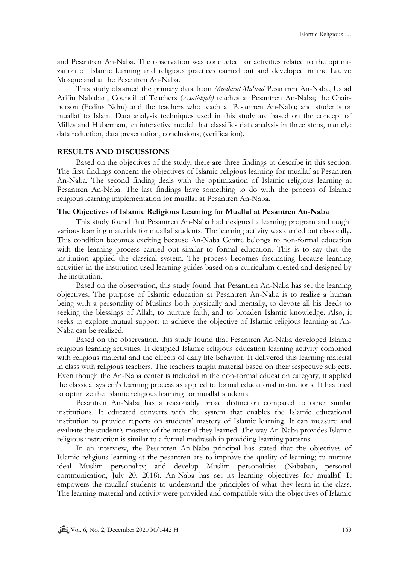and Pesantren An-Naba. The observation was conducted for activities related to the optimization of Islamic learning and religious practices carried out and developed in the Lautze Mosque and at the Pesantren An-Naba.

This study obtained the primary data from *Mudhirul Ma'had* Pesantren An-Naba, Ustad Arifin Nababan; Council of Teachers (*Asatidzah)* teaches at Pesantren An-Naba; the Chairperson (Fedius Ndru) and the teachers who teach at Pesantren An-Naba; and students or muallaf to Islam. Data analysis techniques used in this study are based on the concept of Milles and Huberman, an interactive model that classifies data analysis in three steps, namely: data reduction, data presentation, conclusions; (verification).

# **RESULTS AND DISCUSSIONS**

Based on the objectives of the study, there are three findings to describe in this section. The first findings concern the objectives of Islamic religious learning for muallaf at Pesantren An-Naba. The second finding deals with the optimization of Islamic religious learning at Pesantren An-Naba. The last findings have something to do with the process of Islamic religious learning implementation for muallaf at Pesantren An-Naba.

# **The Objectives of Islamic Religious Learning for Muallaf at Pesantren An-Naba**

This study found that Pesantren An-Naba had designed a learning program and taught various learning materials for muallaf students. The learning activity was carried out classically. This condition becomes exciting because An-Naba Centre belongs to non-formal education with the learning process carried out similar to formal education. This is to say that the institution applied the classical system. The process becomes fascinating because learning activities in the institution used learning guides based on a curriculum created and designed by the institution.

Based on the observation, this study found that Pesantren An-Naba has set the learning objectives. The purpose of Islamic education at Pesantren An-Naba is to realize a human being with a personality of Muslims both physically and mentally, to devote all his deeds to seeking the blessings of Allah, to nurture faith, and to broaden Islamic knowledge. Also, it seeks to explore mutual support to achieve the objective of Islamic religious learning at An-Naba can be realized.

Based on the observation, this study found that Pesantren An-Naba developed Islamic religious learning activities. It designed Islamic religious education learning activity combined with religious material and the effects of daily life behavior. It delivered this learning material in class with religious teachers. The teachers taught material based on their respective subjects. Even though the An-Naba center is included in the non-formal education category, it applied the classical system's learning process as applied to formal educational institutions. It has tried to optimize the Islamic religious learning for muallaf students.

Pesantren An-Naba has a reasonably broad distinction compared to other similar institutions. It educated converts with the system that enables the Islamic educational institution to provide reports on students' mastery of Islamic learning. It can measure and evaluate the student's mastery of the material they learned. The way An-Naba provides Islamic religious instruction is similar to a formal madrasah in providing learning patterns.

In an interview, the Pesantren An-Naba principal has stated that the objectives of Islamic religious learning at the pesantren are to improve the quality of learning; to nurture ideal Muslim personality; and develop Muslim personalities (Nababan, personal communication, July 20, 2018). An-Naba has set its learning objectives for muallaf. It empowers the muallaf students to understand the principles of what they learn in the class. The learning material and activity were provided and compatible with the objectives of Islamic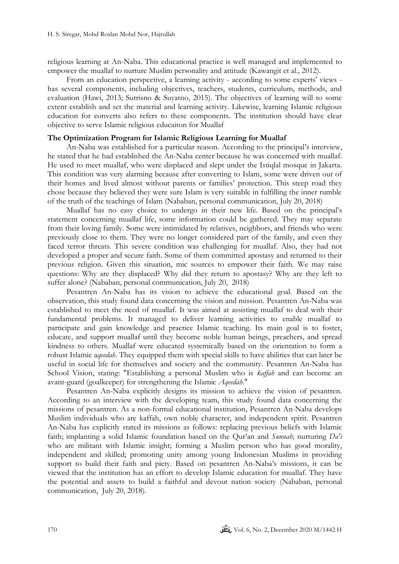religious learning at An-Naba. This educational practice is well managed and implemented to empower the muallaf to nurture Muslim personality and attitude (Kawangit et al., 2012).

From an education perspective, a learning activity - according to some experts' views has several components, including objectives, teachers, students, curriculum, methods, and evaluation (Hawi, 2013; Sutrisno & Suyatno, 2015). The objectives of learning will to some extent establish and set the material and learning activity. Likewise, learning Islamic religious education for converts also refers to these components. The institution should have clear objective to serve Islamic religious educaiton for Muallaf

#### **The Optimization Program for Islamic Religious Learning for Muallaf**

An-Naba was established for a particular reason. According to the principal's interview, he stated that he had established the An-Naba center because he was concerned with muallaf. He used to meet muallaf, who were displaced and slept under the Istiqlal mosque in Jakarta. This condition was very alarming because after converting to Islam, some were driven out of their homes and lived almost without parents or families' protection. This steep road they chose because they believed they were sure Islam is very suitable in fulfilling the inner rumble of the truth of the teachings of Islam (Nababan, personal communication, July 20, 2018)

Muallaf has no easy choice to undergo in their new life. Based on the principal's statement concerning muallaf life, some information could be gathered. They may separate from their loving family. Some were intimidated by relatives, neighbors, and friends who were previously close to them. They were no longer considered part of the family, and even they faced terror threats. This severe condition was challenging for muallaf. Also, they had not developed a proper and secure faith. Some of them committed apostasy and returned to their previous religion. Given this situation, mic sources to empower their faith. We may raise questions: Why are they displaced? Why did they return to apostasy? Why are they left to suffer alone? (Nababan, personal communication, July 20, 2018)

Pesantren An-Naba has its vision to achieve the educational goal. Based on the observation, this study found data concerning the vision and mission. Pesantren An-Naba was established to meet the need of muallaf. It was aimed at assisting muallaf to deal with their fundamental problems. It managed to deliver learning activities to enable muallaf to participate and gain knowledge and practice Islamic teaching. Its main goal is to foster, educate, and support muallaf until they become noble human beings, preachers, and spread kindness to others. Muallaf were educated systemically based on the orientation to form a robust Islamic a*qeedah*. They equipped them with special skills to have abilities that can later be useful in social life for themselves and society and the community. Pesantren An-Naba has School Vision, stating: "Establishing a personal Muslim who is *kaffah* and can become an avant-guard (goalkeeper) for strengthening the Islamic *Aqeedah*."

Pesantren An-Naba explicitly designs its mission to achieve the vision of pesantren. According to an interview with the developing team, this study found data concerning the missions of pesantren. As a non-formal educational institution, Pesantren An-Naba develops Muslim individuals who are kaffah, own noble character, and independent spirit. Pesantren An-Naba has explicitly stated its missions as follows: replacing previous beliefs with Islamic faith; implanting a solid Islamic foundation based on the Qur'an and *Sunnah*; nurturing *Da'i* who are militant with Islamic insight; forming a Muslim person who has good morality, independent and skilled; promoting unity among young Indonesian Muslims in providing support to build their faith and piety. Based on pesantren An-Naba's missions, it can be viewed that the institution has an effort to develop Islamic education for muallaf. They have the potential and assets to build a faithful and devout nation society (Nababan, personal communication, July 20, 2018).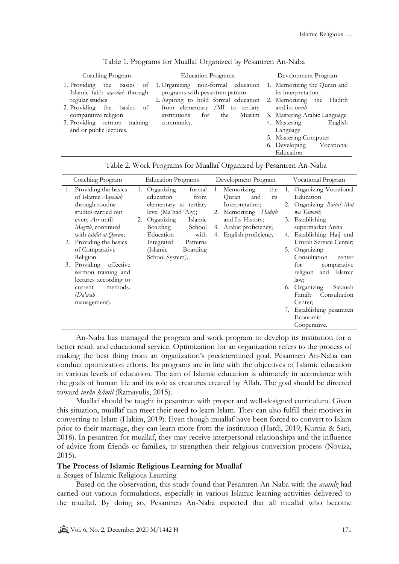| Coaching Program                                            | <b>Education Programs</b>                                                       | Development Program                               |  |  |
|-------------------------------------------------------------|---------------------------------------------------------------------------------|---------------------------------------------------|--|--|
| the<br>1. Providing<br>Islamic faith <i>ageedah</i> through | basics of 1. Organizing non-formal education<br>programs with pesantren pattern | 1. Memorizing the Quran and<br>its interpretation |  |  |
| regular studies                                             | 2. Aspiring to hold formal education                                            | 2. Memorizing the<br>Hadith                       |  |  |
| 2. Providing the basics<br>- of                             | from elementary /MI to<br>tertiary                                              | and its surah                                     |  |  |
| comparative religion                                        | Muslim<br>institutions<br>for<br>the                                            | 3. Mastering Arabic Language                      |  |  |
| training<br>3. Providing sermon                             | community.                                                                      | English<br>4. Mastering                           |  |  |
| and or public lectures.                                     |                                                                                 | Language                                          |  |  |
|                                                             |                                                                                 | 5. Mastering Computer                             |  |  |
|                                                             |                                                                                 | 6. Developing<br>Vocational                       |  |  |
|                                                             |                                                                                 | Education                                         |  |  |

Table 1. Programs for Muallaf Organized by Pesantren An-Naba

| Table 2. Work Programs for Muallaf Organized by Pesantren An-Naba |                    |                     |                   |  |
|-------------------------------------------------------------------|--------------------|---------------------|-------------------|--|
| 10 Prooram.                                                       | Education Programs | Development Program | Vocational Progra |  |

|    | Coaching Program        | <b>Education Programs</b> |                        | Development Program |  | Vocational Program     |     |  |                           |
|----|-------------------------|---------------------------|------------------------|---------------------|--|------------------------|-----|--|---------------------------|
|    | 1. Providing the basics |                           | 1. Organizing          | formal              |  | 1. Memorizing          | the |  | 1. Organizing Vocational  |
|    | of Islamic Aqeedah      |                           | education              | from                |  | Quran<br>and           | its |  | Education                 |
|    | through routine         |                           | elementary to tertiary |                     |  | Interpretation;        |     |  | 2. Organizing Baitul Mal  |
|    | studies carried out     |                           | level (Ma'had 'Aly);   |                     |  | 2. Memorizing Hadith   |     |  | wa Tamwil;                |
|    | every Asr until         |                           | 2. Organizing          | Islamic             |  | and Its History;       |     |  | 3. Establishing           |
|    | Magrib, continued       |                           | Boarding               | School              |  | 3. Arabic proficiency; |     |  | supermarket Anna          |
|    | with tahfid al-Quran;   |                           | Education              | with                |  | 4. English proficiency |     |  | 4. Establishing Hajj and  |
|    | 2. Providing the basics |                           | Integrated             | Patterns            |  |                        |     |  | Umrah Service Center;     |
|    | of Comparative          |                           | (Islamic               | Boarding            |  |                        |     |  | 5. Organizing             |
|    | Religion                |                           | School System).        |                     |  |                        |     |  | Consultation<br>center    |
| 3. | Providing effective     |                           |                        |                     |  |                        |     |  | for<br>comparative        |
|    | sermon training and     |                           |                        |                     |  |                        |     |  | and Islamic<br>religion   |
|    | lectures according to   |                           |                        |                     |  |                        |     |  | law;                      |
|    | methods.<br>current     |                           |                        |                     |  |                        |     |  | Sakinah<br>6. Organizing  |
|    | $(Da'$ wah              |                           |                        |                     |  |                        |     |  | Consultation<br>Family    |
|    | management).            |                           |                        |                     |  |                        |     |  | Center:                   |
|    |                         |                           |                        |                     |  |                        |     |  | 7. Establishing pesantren |
|    |                         |                           |                        |                     |  |                        |     |  | Economic                  |
|    |                         |                           |                        |                     |  |                        |     |  | Cooperative.              |

An-Naba has managed the program and work program to develop its institution for a better result and educational service. Optimization for an organization refers to the process of making the best thing from an organization's predetermined goal. Pesantren An-Naba can conduct optimization efforts. Its programs are in line with the objectives of Islamic education in various levels of education. The aim of Islamic education is ultimately in accordance with the goals of human life and its role as creatures created by Allah. The goal should be directed toward *insân kâmil* (Ramayulis, 2015).

Muallaf should be taught in pesantren with proper and well-designed curriculum. Given this situation, muallaf can meet their need to learn Islam. They can also fulfill their motives in converting to Islam (Hakim, 2019). Even though muallaf have been forced to convert to Islam prior to their marriage, they can learn more from the institution (Hardi, 2019; Kurnia & Sani, 2018). In pesantren for muallaf, they may receive interpersonal relationships and the influence of advice from friends or families, to strengthen their religious conversion process (Noviza, 2015).

# **The Process of Islamic Religious Learning for Muallaf**

a. Stages of Islamic Religious Learning

Based on the observation, this study found that Pesantren An-Naba with the *asatidz* had carried out various formulations, especially in various Islamic learning activities delivered to the muallaf. By doing so, Pesantren An-Naba expected that all muallaf who become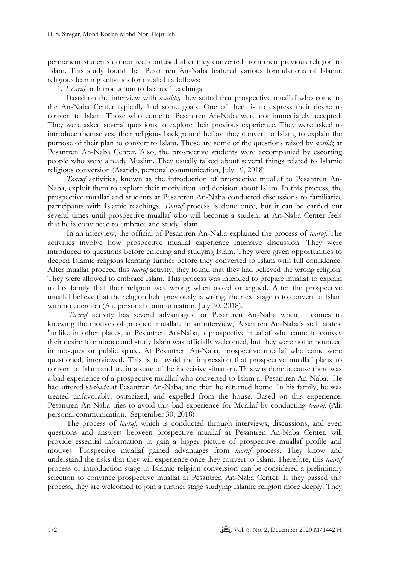permanent students do not feel confused after they converted from their previous religion to Islam. This study found that Pesantren An-Naba featured various formulations of Islamic religious learning activities for muallaf as follows:

1. *Ta'aruf* or Introduction to Islamic Teachings

Based on the interview with *asatidz,* they stated that prospective muallaf who come to the An-Naba Center typically had some goals. One of them is to express their desire to convert to Islam. Those who come to Pesantren An-Naba were not immediately accepted. They were asked several questions to explore their previous experience. They were asked to introduce themselves, their religious background before they convert to Islam, to explain the purpose of their plan to convert to Islam. Those are some of the questions raised by *asatidz* at Pesantren An-Naba Center. Also, the prospective students were accompanied by escorting people who were already Muslim. They usually talked about several things related to Islamic religious conversion (Asatidz, personal communication, July 19, 2018)

*Taaruf* activities, known as the introduction of prospective muallaf to Pesantren An-Naba, exploit them to explore their motivation and decision about Islam. In this process, the prospective muallaf and students at Pesantren An-Naba conducted discussions to familiarize participants with Islamic teachings. *Taaruf* process is done once, but it can be carried out several times until prospective muallaf who will become a student at An-Naba Center feels that he is convinced to embrace and study Islam.

In an interview, the official of Pesantren An-Naba explained the process of *taaruf.* The activities involve how prospective muallaf experience intensive discussion. They were introduced to questions before entering and studying Islam. They were given opportunities to deepen Islamic religious learning further before they converted to Islam with full confidence. After muallaf proceed this *taaruf* activity, they found that they had believed the wrong religion. They were allowed to embrace Islam. This process was intended to prepare muallaf to explain to his family that their religion was wrong when asked or argued. After the prospective muallaf believe that the religion held previously is wrong, the next stage is to convert to Islam with no coercion (Ali, personal communication, July 30, 2018).

*Taaruf* activity has several advantages for Pesantren An-Naba when it comes to knowing the motives of prospect muallaf. In an interview, Pesantren An-Naba's staff states: "unlike in other places, at Pesantren An-Naba, a prospective muallaf who came to convey their desire to embrace and study Islam was officially welcomed, but they were not announced in mosques or public space. At Pesantren An-Naba, prospective muallaf who came were questioned, interviewed. This is to avoid the impression that prospective muallaf plans to convert to Islam and are in a state of the indecisive situation. This was done because there was a bad experience of a prospective muallaf who converted to Islam at Pesantren An-Naba. He had uttered s*hahada* at Pesantren An-Naba, and then he returned home. In his family, he was treated unfavorably, ostracized, and expelled from the house. Based on this experience, Pesantren An-Naba tries to avoid this bad experience for Muallaf by conducting *taaruf.* (Ali, personal communication, September 30, 2018)

The process of *taaruf*, which is conducted through interviews, discussions, and even questions and answers between prospective muallaf at Pesantren An-Naba Center, will provide essential information to gain a bigger picture of prospective muallaf profile and motives. Prospective muallaf gained advantages from *taaruf* process. They know and understand the risks that they will experience once they convert to Islam. Therefore, this *taaruf* process or introduction stage to Islamic religion conversion can be considered a preliminary selection to convince prospective muallaf at Pesantren An-Naba Center. If they passed this process, they are welcomed to join a further stage studying Islamic religion more deeply. They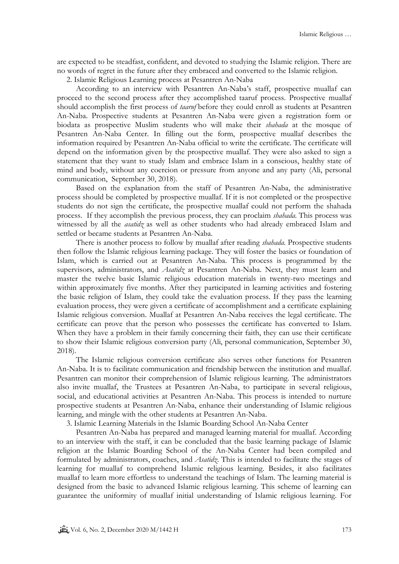are expected to be steadfast, confident, and devoted to studying the Islamic religion. There are no words of regret in the future after they embraced and converted to the Islamic religion.

2. Islamic Religious Learning process at Pesantren An-Naba

According to an interview with Pesantren An-Naba's staff, prospective muallaf can proceed to the second process after they accomplished taaruf process. Prospective muallaf should accomplish the first process of *taaruf* before they could enroll as students at Pesantren An-Naba. Prospective students at Pesantren An-Naba were given a registration form or biodata as prospective Muslim students who will make their *shahada* at the mosque of Pesantren An-Naba Center. In filling out the form, prospective muallaf describes the information required by Pesantren An-Naba official to write the certificate. The certificate will depend on the information given by the prospective muallaf. They were also asked to sign a statement that they want to study Islam and embrace Islam in a conscious, healthy state of mind and body, without any coercion or pressure from anyone and any party (Ali, personal communication, September 30, 2018).

Based on the explanation from the staff of Pesantren An-Naba, the administrative process should be completed by prospective muallaf. If it is not completed or the prospective students do not sign the certificate, the prospective muallaf could not perform the shahada process. If they accomplish the previous process, they can proclaim *shahada.* This process was witnessed by all the *asatidz* as well as other students who had already embraced Islam and settled or became students at Pesantren An-Naba.

There is another process to follow by muallaf after reading *shahada.* Prospective students then follow the Islamic religious learning package. They will foster the basics or foundation of Islam, which is carried out at Pesantren An-Naba. This process is programmed by the supervisors, administrators, and *Asatidz* at Pesantren An-Naba. Next, they must learn and master the twelve basic Islamic religious education materials in twenty-two meetings and within approximately five months. After they participated in learning activities and fostering the basic religion of Islam, they could take the evaluation process. If they pass the learning evaluation process, they were given a certificate of accomplishment and a certificate explaining Islamic religious conversion. Muallaf at Pesantren An-Naba receives the legal certificate. The certificate can prove that the person who possesses the certificate has converted to Islam. When they have a problem in their family concerning their faith, they can use their certificate to show their Islamic religious conversion party (Ali, personal communication, September 30, 2018).

The Islamic religious conversion certificate also serves other functions for Pesantren An-Naba. It is to facilitate communication and friendship between the institution and muallaf. Pesantren can monitor their comprehension of Islamic religious learning. The administrators also invite muallaf, the Trustees at Pesantren An-Naba, to participate in several religious, social, and educational activities at Pesantren An-Naba. This process is intended to nurture prospective students at Pesantren An-Naba, enhance their understanding of Islamic religious learning, and mingle with the other students at Pesantren An-Naba.

3. Islamic Learning Materials in the Islamic Boarding School An-Naba Center

Pesantren An-Naba has prepared and managed learning material for muallaf. According to an interview with the staff, it can be concluded that the basic learning package of Islamic religion at the Islamic Boarding School of the An-Naba Center had been compiled and formulated by administrators, coaches, and *Asatidz*. This is intended to facilitate the stages of learning for muallaf to comprehend Islamic religious learning. Besides, it also facilitates muallaf to learn more effortless to understand the teachings of Islam. The learning material is designed from the basic to advanced Islamic religious learning. This scheme of learning can guarantee the uniformity of muallaf initial understanding of Islamic religious learning. For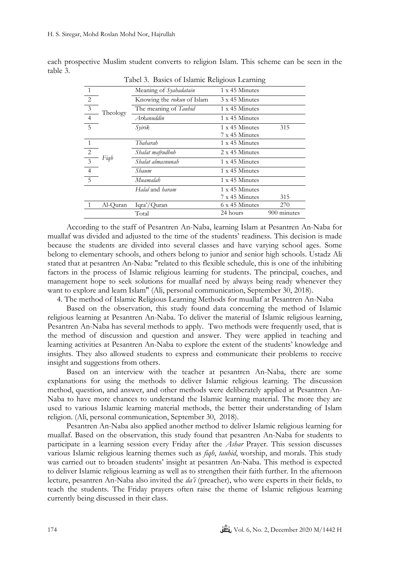| Tabel 5. Dasits of Islamic Religious Learning |          |                                |                       |             |  |  |
|-----------------------------------------------|----------|--------------------------------|-----------------------|-------------|--|--|
| $\overline{1}$                                |          | Meaning of Syahadatain         | 1 x 45 Minutes        |             |  |  |
| $\overline{2}$                                |          | Knowing the rukun of Islam     | $3 \times 45$ Minutes |             |  |  |
| $\overline{\overline{\overline{3}}}$          | Theology | The meaning of Tauhid          | 1 x 45 Minutes        |             |  |  |
| $\overline{4}$                                |          | Arkanuddin                     | 1 x 45 Minutes        |             |  |  |
| 5                                             |          | Syirik                         | 1 x 45 Minutes        | 315         |  |  |
|                                               |          |                                | 7 x 45 Minutes        |             |  |  |
| $\overline{1}$                                |          | Thaharah                       | 1 x 45 Minutes        |             |  |  |
| $\overline{2}$                                |          | Shalat mafrudhoh               | 2 x 45 Minutes        |             |  |  |
| $\overline{\phantom{a}3}$                     | Figh     | Shalat almasnunah              | 1 x 45 Minutes        |             |  |  |
| $\overline{4}$                                |          | Shaum                          | 1 x 45 Minutes        |             |  |  |
| $5\phantom{.0}$                               |          | Muamalah                       | 1 x 45 Minutes        |             |  |  |
|                                               |          | H <i>alal</i> and <i>haram</i> | 1 x 45 Minutes        |             |  |  |
|                                               |          |                                | 7 x 45 Minutes        | 315         |  |  |
|                                               | Al-Quran | Iqra'/Quran                    | 6 x 45 Minutes        | 270         |  |  |
|                                               |          | Total                          | 24 hours              | 900 minutes |  |  |

each prospective Muslim student converts to religion Islam. This scheme can be seen in the table 3.

Tabel 3. Basics of Islamic Religious Learning

According to the staff of Pesantren An-Naba, learning Islam at Pesantren An-Naba for muallaf was divided and adjusted to the time of the students' readiness. This decision is made because the students are divided into several classes and have varying school ages. Some belong to elementary schools, and others belong to junior and senior high schools. Ustadz Ali stated that at pesantren An-Naba: "related to this flexible schedule, this is one of the inhibiting factors in the process of Islamic religious learning for students. The principal, coaches, and management hope to seek solutions for muallaf need by always being ready whenever they want to explore and learn Islam" (Ali, personal communication, September 30, 2018).

4. The method of Islamic Religious Learning Methods for muallaf at Pesantren An-Naba

Based on the observation, this study found data concerning the method of Islamic religious learning at Pesantren An-Naba. To deliver the material of Islamic religious learning, Pesantren An-Naba has several methods to apply. Two methods were frequently used, that is the method of discussion and question and answer. They were applied in teaching and learning activities at Pesantren An-Naba to explore the extent of the students' knowledge and insights. They also allowed students to express and communicate their problems to receive insight and suggestions from others.

Based on an interview with the teacher at pesantren An-Naba, there are some explanations for using the methods to deliver Islamic religious learning. The discussion method, question, and answer, and other methods were deliberately applied at Pesantren An-Naba to have more chances to understand the Islamic learning material. The more they are used to various Islamic learning material methods, the better their understanding of Islam religion. (Ali, personal communication, September 30, 2018).

Pesantren An-Naba also applied another method to deliver Islamic religious learning for muallaf. Based on the observation, this study found that pesantren An-Naba for students to participate in a learning session every Friday after the *Ashar* Prayer. This session discusses various Islamic religious learning themes such as *fiqh*, *tauhid*, worship, and morals. This study was carried out to broaden students' insight at pesantren An-Naba. This method is expected to deliver Islamic religious learning as well as to strengthen their faith further. In the afternoon lecture, pesantren An-Naba also invited the *da'i* (preacher), who were experts in their fields, to teach the students. The Friday prayers often raise the theme of Islamic religious learning currently being discussed in their class.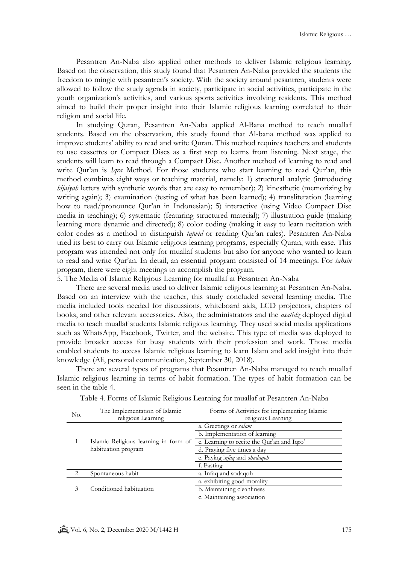Pesantren An-Naba also applied other methods to deliver Islamic religious learning. Based on the observation, this study found that Pesantren An-Naba provided the students the freedom to mingle with pesantren's society. With the society around pesantren, students were allowed to follow the study agenda in society, participate in social activities, participate in the youth organization's activities, and various sports activities involving residents. This method aimed to build their proper insight into their Islamic religious learning correlated to their religion and social life.

In studying Quran, Pesantren An-Naba applied Al-Bana method to teach muallaf students. Based on the observation, this study found that Al-bana method was applied to improve students' ability to read and write Quran. This method requires teachers and students to use cassettes or Compact Discs as a first step to learns from listening. Next stage, the students will learn to read through a Compact Disc. Another method of learning to read and write Qur'an is *Iqra* Method. For those students who start learning to read Qur'an, this method combines eight ways or teaching material, namely: 1) structural analytic (introducing *hijaiyah* letters with synthetic words that are easy to remember); 2) kinesthetic (memorizing by writing again); 3) examination (testing of what has been learned); 4) transliteration (learning how to read/pronounce Qur'an in Indonesian); 5) interactive (using Video Compact Disc media in teaching); 6) systematic (featuring structured material); 7) illustration guide (making learning more dynamic and directed); 8) color coding (making it easy to learn recitation with color codes as a method to distinguish *tajwid* or reading Qur'an rules). Pesantren An-Naba tried its best to carry out Islamic religious learning programs, especially Quran, with ease. This program was intended not only for muallaf students but also for anyone who wanted to learn to read and write Qur'an. In detail, an essential program consisted of 14 meetings. For *tahsin* program, there were eight meetings to accomplish the program.

5. The Media of Islamic Religious Learning for muallaf at Pesantren An-Naba

There are several media used to deliver Islamic religious learning at Pesantren An-Naba. Based on an interview with the teacher, this study concluded several learning media. The media included tools needed for discussions, whiteboard aids, LCD projectors, chapters of books, and other relevant accessories. Also, the administrators and the *asatidz* deployed digital media to teach muallaf students Islamic religious learning. They used social media applications such as WhatsApp, Facebook, Twitter, and the website. This type of media was deployed to provide broader access for busy students with their profession and work. Those media enabled students to access Islamic religious learning to learn Islam and add insight into their knowledge (Ali, personal communication, September 30, 2018).

There are several types of programs that Pesantren An-Naba managed to teach muallaf Islamic religious learning in terms of habit formation. The types of habit formation can be seen in the table 4.

| No. | The Implementation of Islamic                                | Forms of Activities for implementing Islamic |  |  |  |
|-----|--------------------------------------------------------------|----------------------------------------------|--|--|--|
|     | religious Learning                                           | religious Learning                           |  |  |  |
|     |                                                              | a. Greetings or salam                        |  |  |  |
| 1   |                                                              | b. Implementation of learning                |  |  |  |
|     | Islamic Religious learning in form of<br>habituation program | c. Learning to recite the Qur'an and Iqro'   |  |  |  |
|     |                                                              | d. Praying five times a day                  |  |  |  |
|     |                                                              | e. Paying infaq and shadaqoh                 |  |  |  |
|     |                                                              | f. Fasting                                   |  |  |  |
| 2   | Spontaneous habit                                            | a. Infaq and sodagoh                         |  |  |  |
|     |                                                              | a. exhibiting good morality                  |  |  |  |
| 3   | Conditioned habituation                                      | b. Maintaining cleanliness                   |  |  |  |
|     |                                                              | c. Maintaining association                   |  |  |  |

| Table 4. Forms of Islamic Religious Learning for muallaf at Pesantren An-Naba |  |  |  |
|-------------------------------------------------------------------------------|--|--|--|
|-------------------------------------------------------------------------------|--|--|--|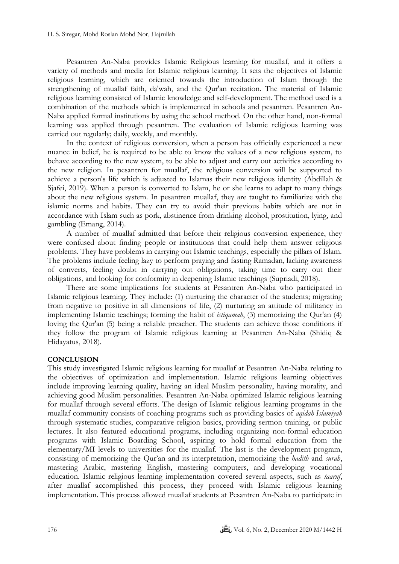Pesantren An-Naba provides Islamic Religious learning for muallaf, and it offers a variety of methods and media for Islamic religious learning. It sets the objectives of Islamic religious learning, which are oriented towards the introduction of Islam through the strengthening of muallaf faith, da'wah, and the Qur'an recitation. The material of Islamic religious learning consisted of Islamic knowledge and self-development. The method used is a combination of the methods which is implemented in schools and pesantren. Pesantren An-Naba applied formal institutions by using the school method. On the other hand, non-formal learning was applied through pesantren. The evaluation of Islamic religious learning was carried out regularly; daily, weekly, and monthly.

In the context of religious conversion, when a person has officially experienced a new nuance in belief, he is required to be able to know the values of a new religious system, to behave according to the new system, to be able to adjust and carry out activities according to the new religion. In pesantren for muallaf, the religious conversion will be supported to achieve a person's life which is adjusted to Islamas their new religious identity (Abdillah & Sjafei, 2019). When a person is converted to Islam, he or she learns to adapt to many things about the new religious system. In pesantren muallaf, they are taught to familiarize with the islamic norms and habits. They can try to avoid their previous habits which are not in accordance with Islam such as pork, abstinence from drinking alcohol, prostitution, lying, and gambling (Emang, 2014).

A number of muallaf admitted that before their religious conversion experience, they were confused about finding people or institutions that could help them answer religious problems. They have problems in carrying out Islamic teachings, especially the pillars of Islam. The problems include feeling lazy to perform praying and fasting Ramadan, lacking awareness of converts, feeling doubt in carrying out obligations, taking time to carry out their obligations, and looking for conformity in deepening Islamic teachings (Supriadi, 2018).

There are some implications for students at Pesantren An-Naba who participated in Islamic religious learning. They include: (1) nurturing the character of the students; migrating from negative to positive in all dimensions of life, (2) nurturing an attitude of militancy in implementing Islamic teachings; forming the habit of *istiqamah*, (3) memorizing the Qur'an (4) loving the Qur'an (5) being a reliable preacher. The students can achieve those conditions if they follow the program of Islamic religious learning at Pesantren An-Naba (Shidiq & Hidayatus, 2018).

# **CONCLUSION**

This study investigated Islamic religious learning for muallaf at Pesantren An-Naba relating to the objectives of optimization and implementation. Islamic religious learning objectives include improving learning quality, having an ideal Muslim personality, having morality, and achieving good Muslim personalities. Pesantren An-Naba optimized Islamic religious learning for muallaf through several efforts. The design of Islamic religious learning programs in the muallaf community consists of coaching programs such as providing basics of *aqidah Islamiyah* through systematic studies, comparative religion basics, providing sermon training, or public lectures. It also featured educational programs, including organizing non-formal education programs with Islamic Boarding School, aspiring to hold formal education from the elementary/MI levels to universities for the muallaf. The last is the development program, consisting of memorizing the Qur'an and its interpretation, memorizing the *hadith* and *surah*, mastering Arabic, mastering English, mastering computers, and developing vocational education. Islamic religious learning implementation covered several aspects, such as *taaruf*, after muallaf accomplished this process, they proceed with Islamic religious learning implementation. This process allowed muallaf students at Pesantren An-Naba to participate in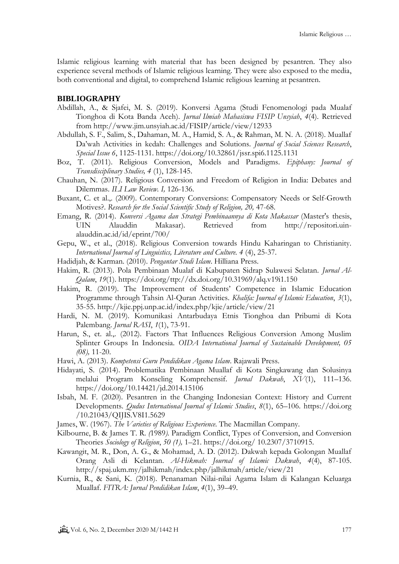Islamic religious learning with material that has been designed by pesantren. They also experience several methods of Islamic religious learning. They were also exposed to the media, both conventional and digital, to comprehend Islamic religious learning at pesantren.

# **BIBLIOGRAPHY**

- Abdillah, A., & Sjafei, M. S. (2019). Konversi Agama (Studi Fenomenologi pada Mualaf Tionghoa di Kota Banda Aceh). *Jurnal Ilmiah Mahasiswa FISIP Unsyiah*, *4*(4). Retrieved from http://www.jim.unsyiah.ac.id/FISIP/article/view/12933
- Abdullah, S. F., Salim, S., Dahaman, M. A., Hamid, S. A., & Rahman, M. N. A. (2018). Muallaf Da'wah Activities in kedah: Challenges and Solutions. *Journal of Social Sciences Research*, *Special Issue 6*, 1125-1131. https://doi.org/10.32861/jssr.spi6.1125.1131
- Boz, T. (2011). Religious Conversion, Models and Paradigms. *Epiphany: Journal of Transdisciplinary Studies, 4* (1), 128-145.
- Chauhan, N. (2017). Religious Conversion and Freedom of Religion in India: Debates and Dilemmas. *ILI Law Review. I,* 126-136.
- Buxant, C. et al.,. (2009). Contemporary Conversions: Compensatory Needs or Self-Growth Motives?. *Research for the Social Scientific Study of Religion, 20,* 47-68.
- Emang, R. (2014). *Konversi Agama dan Strategi Pembinaannya di Kota Makassar* (Master's thesis, UIN Alauddin Makasar)*.* Retrieved from http://repositori.uinalauddin.ac.id/id/eprint/700/
- Gepu, W., et al., (2018). Religious Conversion towards Hindu Kaharingan to Christianity*. International Journal of Linguistics, Literature and Culture. 4* (4), 25-37.
- Hadidjah, & Karman. (2010). *Pengantar Studi Islam*. Hilliana Press.
- Hakim, R. (2013). Pola Pembinaan Mualaf di Kabupaten Sidrap Sulawesi Selatan. *Jurnal Al-Qalam*, *19*(1). https://doi.org/ttp://dx.doi.org/10.31969/alq.v19i1.150
- Hakim, R. (2019). The Improvement of Students' Competence in Islamic Education Programme through Tahsin Al-Quran Activities. *Khalifa: Journal of Islamic Education*, *3*(1), 35-55. http://kjie.ppj.unp.ac.id/index.php/kjie/article/view/21
- Hardi, N. M. (2019). Komunikasi Antarbudaya Etnis Tionghoa dan Pribumi di Kota Palembang. *Jurnal RASI*, *1*(1), 73-91.
- Harun, S., et. al.,. (2012). Factors That Influences Religious Conversion Among Muslim Splinter Groups In Indonesia. *OIDA International Journal of Sustainable Development, 05 (08),* 11-20.
- Hawi, A. (2013). *Kompetensi Guru Pendidikan Agama Islam*. Rajawali Press.
- Hidayati, S. (2014). Problematika Pembinaan Muallaf di Kota Singkawang dan Solusinya melalui Program Konseling Komprehensif. *Jurnal Dakwah*, *XV*(1), 111–136. https://doi.org/10.14421/jd.2014.15106
- Isbah, M. F. (2020). Pesantren in the Changing Indonesian Context: History and Current Developments. *Qudus International Journal of Islamic Studies*, *8*(1), 65–106. https://doi.org /10.21043/QIJIS.V8I1.5629
- James, W. (1967). *The Varieties of Religious Experience*. The Macmillan Company.
- [Kilbourne,](javascript:;) B. & [James](javascript:;) T. R*. (*1989*).* Paradigm Conflict, Types of Conversion, and Conversion Theories *Sociology of Religion*, *50 (1),* 1–21. https://doi.org/ 10.2307/3710915.
- Kawangit, M. R., Don, A. G., & Mohamad, A. D. (2012). Dakwah kepada Golongan Muallaf Orang Asli di Kelantan. *Al-Hikmah: Journal of Islamic Dakwah*, *4*(4), 87-105. http://spaj.ukm.my/jalhikmah/index.php/jalhikmah/article/view/21
- Kurnia, R., & Sani, K. (2018). Penanaman Nilai-nilai Agama Islam di Kalangan Keluarga Muallaf. *FITRA: Jurnal Pendidikan Islam*, *4*(1), 39–49.